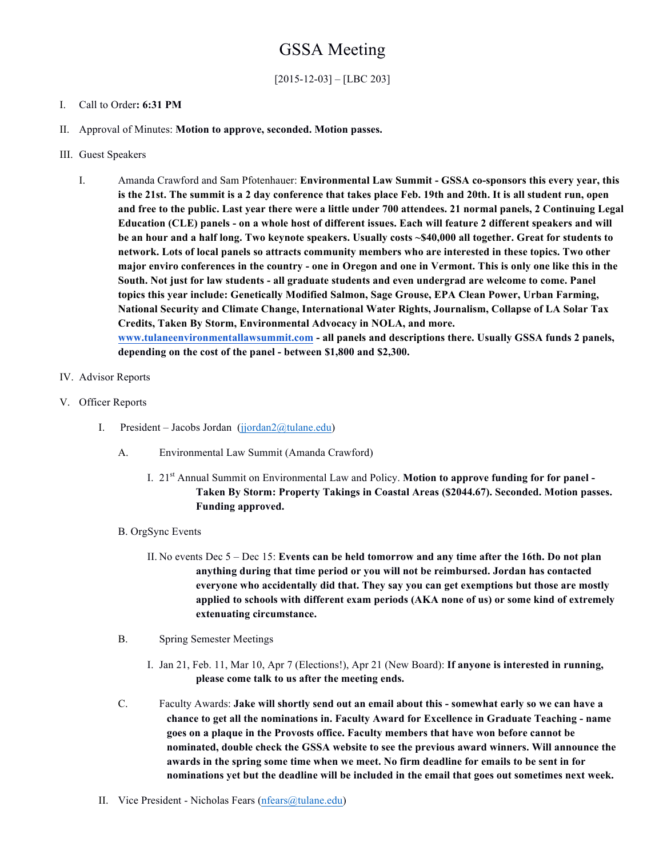## GSSA Meeting

[2015-12-03] – [LBC 203]

## I. Call to Order**: 6:31 PM**

- II. Approval of Minutes: **Motion to approve, seconded. Motion passes.**
- III. Guest Speakers
	- I. Amanda Crawford and Sam Pfotenhauer: **Environmental Law Summit - GSSA co-sponsors this every year, this is the 21st. The summit is a 2 day conference that takes place Feb. 19th and 20th. It is all student run, open and free to the public. Last year there were a little under 700 attendees. 21 normal panels, 2 Continuing Legal Education (CLE) panels - on a whole host of different issues. Each will feature 2 different speakers and will be an hour and a half long. Two keynote speakers. Usually costs ~\$40,000 all together. Great for students to network. Lots of local panels so attracts community members who are interested in these topics. Two other major enviro conferences in the country - one in Oregon and one in Vermont. This is only one like this in the South. Not just for law students - all graduate students and even undergrad are welcome to come. Panel topics this year include: Genetically Modified Salmon, Sage Grouse, EPA Clean Power, Urban Farming, National Security and Climate Change, International Water Rights, Journalism, Collapse of LA Solar Tax Credits, Taken By Storm, Environmental Advocacy in NOLA, and more. www.tulaneenvironmentallawsummit.com - all panels and descriptions there. Usually GSSA funds 2 panels, depending on the cost of the panel - between \$1,800 and \$2,300.**
- IV. Advisor Reports
- V. Officer Reports
	- I. President Jacobs Jordan (jjordan2@tulane.edu)
		- A. Environmental Law Summit (Amanda Crawford)
			- I. 21st Annual Summit on Environmental Law and Policy. **Motion to approve funding for for panel - Taken By Storm: Property Takings in Coastal Areas (\$2044.67). Seconded. Motion passes. Funding approved.**
		- B. OrgSync Events
			- II. No events Dec 5 Dec 15: **Events can be held tomorrow and any time after the 16th. Do not plan anything during that time period or you will not be reimbursed. Jordan has contacted everyone who accidentally did that. They say you can get exemptions but those are mostly applied to schools with different exam periods (AKA none of us) or some kind of extremely extenuating circumstance.**
		- B. Spring Semester Meetings
			- I. Jan 21, Feb. 11, Mar 10, Apr 7 (Elections!), Apr 21 (New Board): **If anyone is interested in running, please come talk to us after the meeting ends.**
		- C. Faculty Awards: **Jake will shortly send out an email about this - somewhat early so we can have a chance to get all the nominations in. Faculty Award for Excellence in Graduate Teaching - name goes on a plaque in the Provosts office. Faculty members that have won before cannot be nominated, double check the GSSA website to see the previous award winners. Will announce the awards in the spring some time when we meet. No firm deadline for emails to be sent in for nominations yet but the deadline will be included in the email that goes out sometimes next week.**
	- II. Vice President Nicholas Fears (nfears@tulane.edu)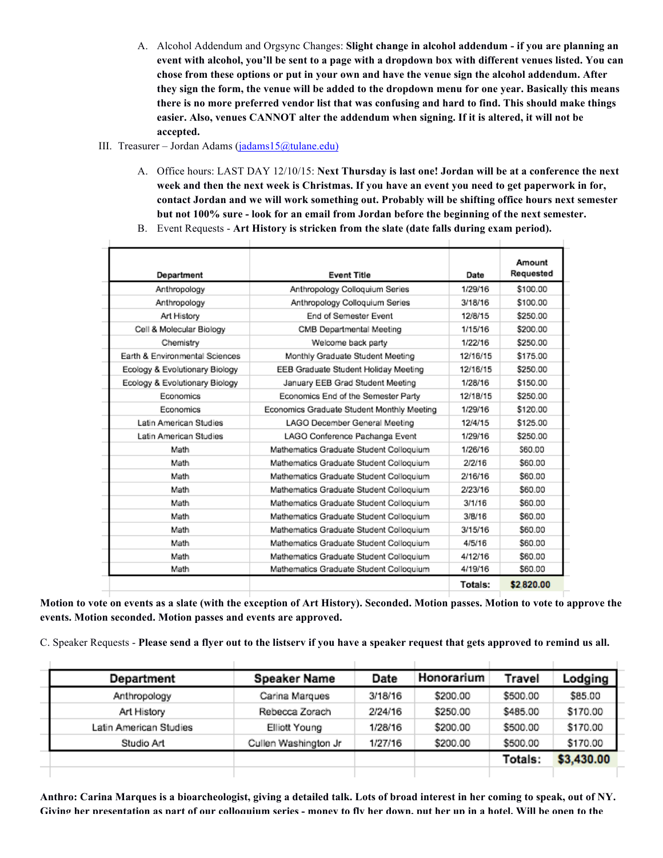- A. Alcohol Addendum and Orgsync Changes: **Slight change in alcohol addendum - if you are planning an event with alcohol, you'll be sent to a page with a dropdown box with different venues listed. You can chose from these options or put in your own and have the venue sign the alcohol addendum. After they sign the form, the venue will be added to the dropdown menu for one year. Basically this means there is no more preferred vendor list that was confusing and hard to find. This should make things easier. Also, venues CANNOT alter the addendum when signing. If it is altered, it will not be accepted.**
- III. Treasurer Jordan Adams (jadams15@tulane.edu)
	- A. Office hours: LAST DAY 12/10/15: **Next Thursday is last one! Jordan will be at a conference the next week and then the next week is Christmas. If you have an event you need to get paperwork in for, contact Jordan and we will work something out. Probably will be shifting office hours next semester but not 100% sure - look for an email from Jordan before the beginning of the next semester.**
	- B. Event Requests **Art History is stricken from the slate (date falls during exam period).**

|                                |                                            |          | Amount    |  |
|--------------------------------|--------------------------------------------|----------|-----------|--|
| Department                     | <b>Event Title</b>                         | Date     | Requested |  |
| Anthropology                   | Anthropology Colloquium Series             |          | \$100.00  |  |
| Anthropology                   | Anthropology Colloquium Series             | 3/18/16  | \$100.00  |  |
| Art History                    | <b>End of Semester Event</b>               | 12/8/15  | \$250.00  |  |
| Cell & Molecular Biology       | CMB Departmental Meeting                   | 1/15/16  | \$200.00  |  |
| Chemistry                      | Welcome back party                         | 1/22/16  | \$250.00  |  |
| Earth & Environmental Sciences | Monthly Graduate Student Meeting           | 12/16/15 | \$175.00  |  |
| Ecology & Evolutionary Biology | EEB Graduate Student Holiday Meeting       | 12/16/15 | \$250.00  |  |
| Ecology & Evolutionary Biology | January EEB Grad Student Meeting           | 1/28/16  | \$150.00  |  |
| Economics                      | Economics End of the Semester Party        | 12/18/15 | \$250.00  |  |
| Economics                      | Economics Graduate Student Monthly Meeting | 1/29/16  | \$120.00  |  |
| Latin American Studies         | LAGO December General Meeting              | 12/4/15  | \$125.00  |  |
| Latin American Studies         | LAGO Conference Pachanga Event             | 1/29/16  | \$250.00  |  |
| Math                           | Mathematics Graduate Student Colloquium    | 1/26/16  | \$60.00   |  |
| Math                           | Mathematics Graduate Student Colloquium    | 2/2/16   | \$60.00   |  |
| Math                           | Mathematics Graduate Student Colloquium    | 2/16/16  | \$60.00   |  |
| Math                           | Mathematics Graduate Student Colloquium    | 2/23/16  | \$60.00   |  |
| Math                           | Mathematics Graduate Student Colloquium    | 3/1/16   | \$60.00   |  |
| Math                           | Mathematics Graduate Student Colloquium    | 3/B/16   | \$60.00   |  |
| Math                           | Mathematics Graduate Student Colloquium    | 3/15/16  | \$60.00   |  |
| Math                           | Mathematics Graduate Student Colloquium    | 4/5/16   | \$60.00   |  |
| Math                           | Mathematics Graduate Student Colloquium    | 4/12/16  | \$60.00   |  |
| Math                           | Mathematics Graduate Student Colloquium    | 4/19/16  | \$60.00   |  |
|                                |                                            | Totals:  | \$2820.00 |  |

**Motion to vote on events as a slate (with the exception of Art History). Seconded. Motion passes. Motion to vote to approve the events. Motion seconded. Motion passes and events are approved.** 

C. Speaker Requests - **Please send a flyer out to the listserv if you have a speaker request that gets approved to remind us all.**

| Department             | <b>Speaker Name</b>  | Date    | Honorarium | Travel   | Lodging    |  |
|------------------------|----------------------|---------|------------|----------|------------|--|
| Anthropology           | Carina Marques       | 3/18/16 | \$200.00   | \$500.00 | \$85.00    |  |
| Art History            | Rebecca Zorach       | 2/24/16 | \$250.00   | \$485.00 | \$170.00   |  |
| Latin American Studies | Elliott Young        | 1/28/16 | \$200.00   | \$500.00 | \$170.00   |  |
| Studio Art             | Cullen Washington Jr | 1/27/16 | \$200.00   | \$500.00 | \$170.00   |  |
|                        |                      |         |            | Totals:  | \$3,430.00 |  |
|                        |                      |         |            |          |            |  |

**Anthro: Carina Marques is a bioarcheologist, giving a detailed talk. Lots of broad interest in her coming to speak, out of NY. Giving her presentation as part of our colloquium series - money to fly her down, put her up in a hotel. Will be open to the**